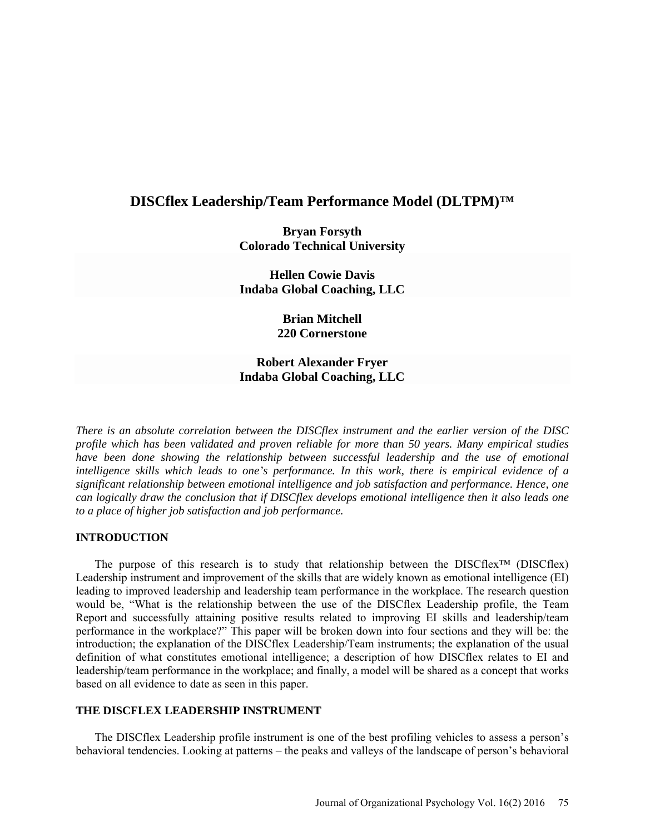# **DISCflex Leadership/Team Performance Model (DLTPM)™**

**Bryan Forsyth Colorado Technical University** 

**Hellen Cowie Davis Indaba Global Coaching, LLC** 

> **Brian Mitchell 220 Cornerstone**

## **Robert Alexander Fryer Indaba Global Coaching, LLC**

*There is an absolute correlation between the DISCflex instrument and the earlier version of the DISC profile which has been validated and proven reliable for more than 50 years. Many empirical studies have been done showing the relationship between successful leadership and the use of emotional intelligence skills which leads to one's performance. In this work, there is empirical evidence of a significant relationship between emotional intelligence and job satisfaction and performance. Hence, one can logically draw the conclusion that if DISCflex develops emotional intelligence then it also leads one to a place of higher job satisfaction and job performance.*

### **INTRODUCTION**

The purpose of this research is to study that relationship between the DISCflex™ (DISCflex) Leadership instrument and improvement of the skills that are widely known as emotional intelligence (EI) leading to improved leadership and leadership team performance in the workplace. The research question would be, "What is the relationship between the use of the DISCflex Leadership profile, the Team Report and successfully attaining positive results related to improving EI skills and leadership/team performance in the workplace?" This paper will be broken down into four sections and they will be: the introduction; the explanation of the DISCflex Leadership/Team instruments; the explanation of the usual definition of what constitutes emotional intelligence; a description of how DISCflex relates to EI and leadership/team performance in the workplace; and finally, a model will be shared as a concept that works based on all evidence to date as seen in this paper.

### **THE DISCFLEX LEADERSHIP INSTRUMENT**

The DISCflex Leadership profile instrument is one of the best profiling vehicles to assess a person's behavioral tendencies. Looking at patterns – the peaks and valleys of the landscape of person's behavioral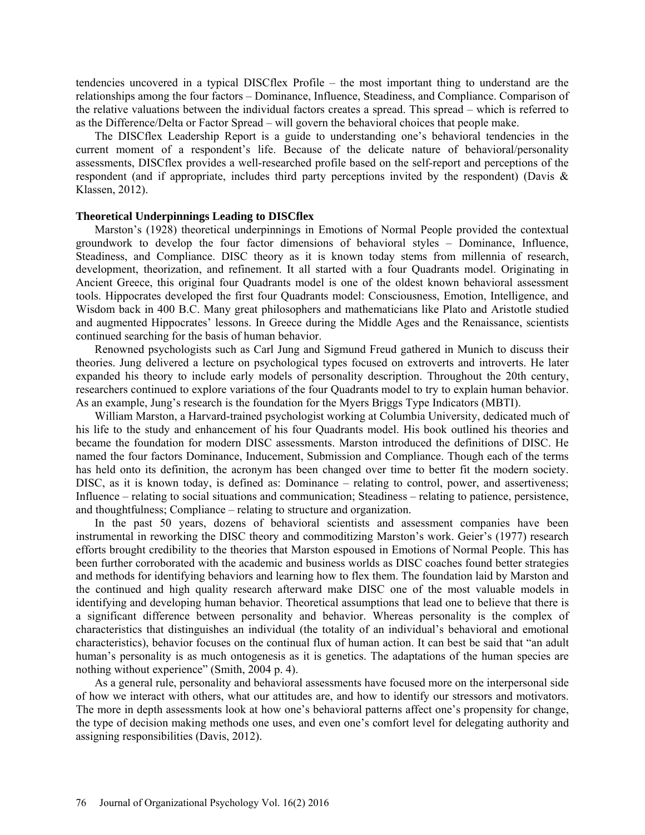tendencies uncovered in a typical DISCflex Profile – the most important thing to understand are the relationships among the four factors – Dominance, Influence, Steadiness, and Compliance. Comparison of the relative valuations between the individual factors creates a spread. This spread – which is referred to as the Difference/Delta or Factor Spread – will govern the behavioral choices that people make.

The DISCflex Leadership Report is a guide to understanding one's behavioral tendencies in the current moment of a respondent's life. Because of the delicate nature of behavioral/personality assessments, DISCflex provides a well-researched profile based on the self-report and perceptions of the respondent (and if appropriate, includes third party perceptions invited by the respondent) (Davis & Klassen, 2012).

### **Theoretical Underpinnings Leading to DISCflex**

Marston's (1928) theoretical underpinnings in Emotions of Normal People provided the contextual groundwork to develop the four factor dimensions of behavioral styles – Dominance, Influence, Steadiness, and Compliance. DISC theory as it is known today stems from millennia of research, development, theorization, and refinement. It all started with a four Quadrants model. Originating in Ancient Greece, this original four Quadrants model is one of the oldest known behavioral assessment tools. Hippocrates developed the first four Quadrants model: Consciousness, Emotion, Intelligence, and Wisdom back in 400 B.C. Many great philosophers and mathematicians like Plato and Aristotle studied and augmented Hippocrates' lessons. In Greece during the Middle Ages and the Renaissance, scientists continued searching for the basis of human behavior.

Renowned psychologists such as Carl Jung and Sigmund Freud gathered in Munich to discuss their theories. Jung delivered a lecture on psychological types focused on extroverts and introverts. He later expanded his theory to include early models of personality description. Throughout the 20th century, researchers continued to explore variations of the four Quadrants model to try to explain human behavior. As an example, Jung's research is the foundation for the Myers Briggs Type Indicators (MBTI).

William Marston, a Harvard-trained psychologist working at Columbia University, dedicated much of his life to the study and enhancement of his four Quadrants model. His book outlined his theories and became the foundation for modern DISC assessments. Marston introduced the definitions of DISC. He named the four factors Dominance, Inducement, Submission and Compliance. Though each of the terms has held onto its definition, the acronym has been changed over time to better fit the modern society. DISC, as it is known today, is defined as: Dominance – relating to control, power, and assertiveness; Influence – relating to social situations and communication; Steadiness – relating to patience, persistence, and thoughtfulness; Compliance – relating to structure and organization.

In the past 50 years, dozens of behavioral scientists and assessment companies have been instrumental in reworking the DISC theory and commoditizing Marston's work. Geier's (1977) research efforts brought credibility to the theories that Marston espoused in Emotions of Normal People. This has been further corroborated with the academic and business worlds as DISC coaches found better strategies and methods for identifying behaviors and learning how to flex them. The foundation laid by Marston and the continued and high quality research afterward make DISC one of the most valuable models in identifying and developing human behavior. Theoretical assumptions that lead one to believe that there is a significant difference between personality and behavior. Whereas personality is the complex of characteristics that distinguishes an individual (the totality of an individual's behavioral and emotional characteristics), behavior focuses on the continual flux of human action. It can best be said that "an adult human's personality is as much ontogenesis as it is genetics. The adaptations of the human species are nothing without experience" (Smith, 2004 p. 4).

As a general rule, personality and behavioral assessments have focused more on the interpersonal side of how we interact with others, what our attitudes are, and how to identify our stressors and motivators. The more in depth assessments look at how one's behavioral patterns affect one's propensity for change, the type of decision making methods one uses, and even one's comfort level for delegating authority and assigning responsibilities (Davis, 2012).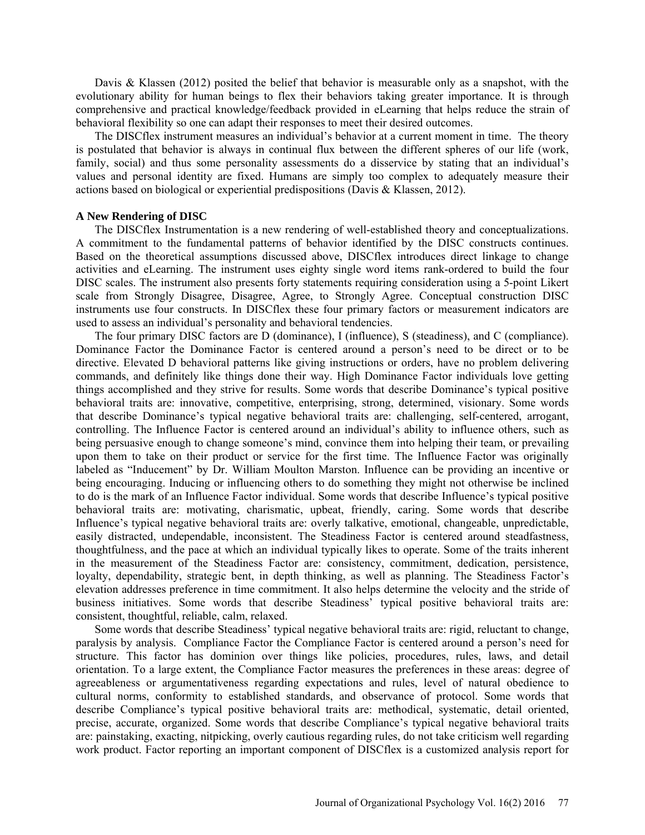Davis & Klassen (2012) posited the belief that behavior is measurable only as a snapshot, with the evolutionary ability for human beings to flex their behaviors taking greater importance. It is through comprehensive and practical knowledge/feedback provided in eLearning that helps reduce the strain of behavioral flexibility so one can adapt their responses to meet their desired outcomes.

The DISCflex instrument measures an individual's behavior at a current moment in time. The theory is postulated that behavior is always in continual flux between the different spheres of our life (work, family, social) and thus some personality assessments do a disservice by stating that an individual's values and personal identity are fixed. Humans are simply too complex to adequately measure their actions based on biological or experiential predispositions (Davis & Klassen, 2012).

## **A New Rendering of DISC**

The DISCflex Instrumentation is a new rendering of well-established theory and conceptualizations. A commitment to the fundamental patterns of behavior identified by the DISC constructs continues. Based on the theoretical assumptions discussed above, DISCflex introduces direct linkage to change activities and eLearning. The instrument uses eighty single word items rank-ordered to build the four DISC scales. The instrument also presents forty statements requiring consideration using a 5-point Likert scale from Strongly Disagree, Disagree, Agree, to Strongly Agree. Conceptual construction DISC instruments use four constructs. In DISCflex these four primary factors or measurement indicators are used to assess an individual's personality and behavioral tendencies.

The four primary DISC factors are D (dominance), I (influence), S (steadiness), and C (compliance). Dominance Factor the Dominance Factor is centered around a person's need to be direct or to be directive. Elevated D behavioral patterns like giving instructions or orders, have no problem delivering commands, and definitely like things done their way. High Dominance Factor individuals love getting things accomplished and they strive for results. Some words that describe Dominance's typical positive behavioral traits are: innovative, competitive, enterprising, strong, determined, visionary. Some words that describe Dominance's typical negative behavioral traits are: challenging, self-centered, arrogant, controlling. The Influence Factor is centered around an individual's ability to influence others, such as being persuasive enough to change someone's mind, convince them into helping their team, or prevailing upon them to take on their product or service for the first time. The Influence Factor was originally labeled as "Inducement" by Dr. William Moulton Marston. Influence can be providing an incentive or being encouraging. Inducing or influencing others to do something they might not otherwise be inclined to do is the mark of an Influence Factor individual. Some words that describe Influence's typical positive behavioral traits are: motivating, charismatic, upbeat, friendly, caring. Some words that describe Influence's typical negative behavioral traits are: overly talkative, emotional, changeable, unpredictable, easily distracted, undependable, inconsistent. The Steadiness Factor is centered around steadfastness, thoughtfulness, and the pace at which an individual typically likes to operate. Some of the traits inherent in the measurement of the Steadiness Factor are: consistency, commitment, dedication, persistence, loyalty, dependability, strategic bent, in depth thinking, as well as planning. The Steadiness Factor's elevation addresses preference in time commitment. It also helps determine the velocity and the stride of business initiatives. Some words that describe Steadiness' typical positive behavioral traits are: consistent, thoughtful, reliable, calm, relaxed.

Some words that describe Steadiness' typical negative behavioral traits are: rigid, reluctant to change, paralysis by analysis. Compliance Factor the Compliance Factor is centered around a person's need for structure. This factor has dominion over things like policies, procedures, rules, laws, and detail orientation. To a large extent, the Compliance Factor measures the preferences in these areas: degree of agreeableness or argumentativeness regarding expectations and rules, level of natural obedience to cultural norms, conformity to established standards, and observance of protocol. Some words that describe Compliance's typical positive behavioral traits are: methodical, systematic, detail oriented, precise, accurate, organized. Some words that describe Compliance's typical negative behavioral traits are: painstaking, exacting, nitpicking, overly cautious regarding rules, do not take criticism well regarding work product. Factor reporting an important component of DISCflex is a customized analysis report for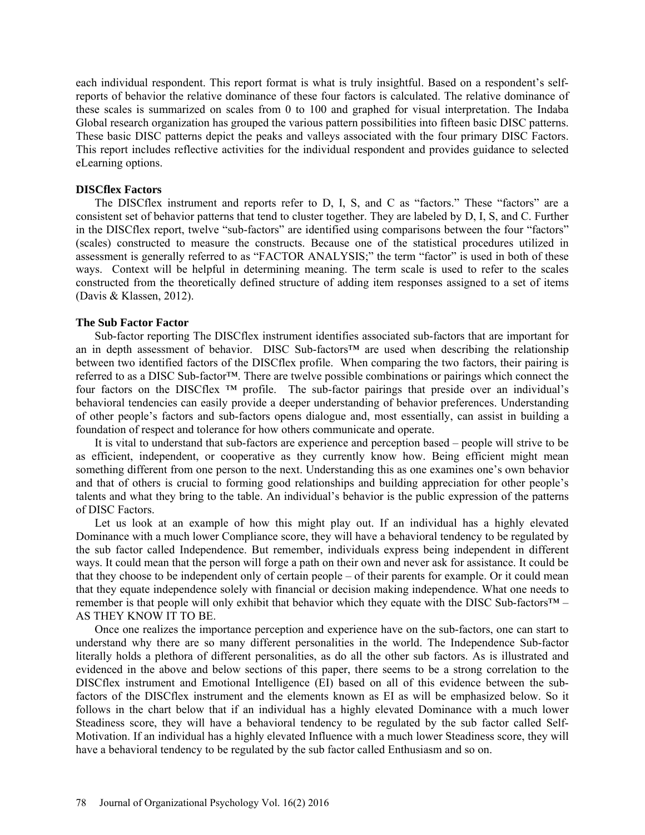each individual respondent. This report format is what is truly insightful. Based on a respondent's selfreports of behavior the relative dominance of these four factors is calculated. The relative dominance of these scales is summarized on scales from 0 to 100 and graphed for visual interpretation. The Indaba Global research organization has grouped the various pattern possibilities into fifteen basic DISC patterns. These basic DISC patterns depict the peaks and valleys associated with the four primary DISC Factors. This report includes reflective activities for the individual respondent and provides guidance to selected eLearning options.

#### **DISCflex Factors**

The DISCflex instrument and reports refer to D, I, S, and C as "factors." These "factors" are a consistent set of behavior patterns that tend to cluster together. They are labeled by D, I, S, and C. Further in the DISCflex report, twelve "sub-factors" are identified using comparisons between the four "factors" (scales) constructed to measure the constructs. Because one of the statistical procedures utilized in assessment is generally referred to as "FACTOR ANALYSIS;" the term "factor" is used in both of these ways. Context will be helpful in determining meaning. The term scale is used to refer to the scales constructed from the theoretically defined structure of adding item responses assigned to a set of items (Davis & Klassen, 2012).

### **The Sub Factor Factor**

Sub-factor reporting The DISCflex instrument identifies associated sub-factors that are important for an in depth assessment of behavior. DISC Sub-factors™ are used when describing the relationship between two identified factors of the DISCflex profile. When comparing the two factors, their pairing is referred to as a DISC Sub-factor™. There are twelve possible combinations or pairings which connect the four factors on the DISCflex ™ profile. The sub-factor pairings that preside over an individual's behavioral tendencies can easily provide a deeper understanding of behavior preferences. Understanding of other people's factors and sub-factors opens dialogue and, most essentially, can assist in building a foundation of respect and tolerance for how others communicate and operate.

It is vital to understand that sub-factors are experience and perception based – people will strive to be as efficient, independent, or cooperative as they currently know how. Being efficient might mean something different from one person to the next. Understanding this as one examines one's own behavior and that of others is crucial to forming good relationships and building appreciation for other people's talents and what they bring to the table. An individual's behavior is the public expression of the patterns of DISC Factors.

Let us look at an example of how this might play out. If an individual has a highly elevated Dominance with a much lower Compliance score, they will have a behavioral tendency to be regulated by the sub factor called Independence. But remember, individuals express being independent in different ways. It could mean that the person will forge a path on their own and never ask for assistance. It could be that they choose to be independent only of certain people – of their parents for example. Or it could mean that they equate independence solely with financial or decision making independence. What one needs to remember is that people will only exhibit that behavior which they equate with the DISC Sub-factors™ – AS THEY KNOW IT TO BE.

Once one realizes the importance perception and experience have on the sub-factors, one can start to understand why there are so many different personalities in the world. The Independence Sub-factor literally holds a plethora of different personalities, as do all the other sub factors. As is illustrated and evidenced in the above and below sections of this paper, there seems to be a strong correlation to the DISCflex instrument and Emotional Intelligence (EI) based on all of this evidence between the subfactors of the DISCflex instrument and the elements known as EI as will be emphasized below. So it follows in the chart below that if an individual has a highly elevated Dominance with a much lower Steadiness score, they will have a behavioral tendency to be regulated by the sub factor called Self-Motivation. If an individual has a highly elevated Influence with a much lower Steadiness score, they will have a behavioral tendency to be regulated by the sub factor called Enthusiasm and so on.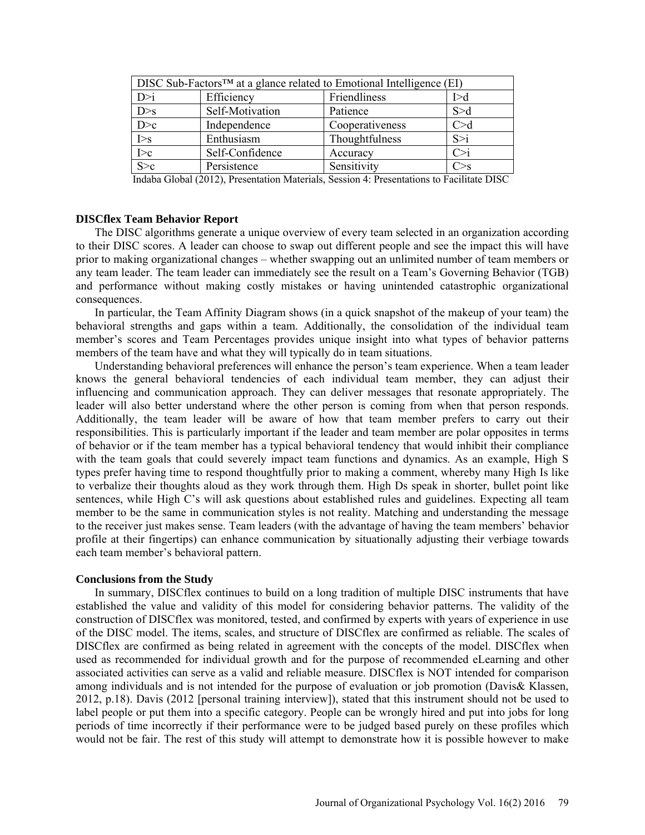| DISC Sub-Factors <sup>TM</sup> at a glance related to Emotional Intelligence (EI) |                 |                 |       |
|-----------------------------------------------------------------------------------|-----------------|-----------------|-------|
| D > i                                                                             | Efficiency      | Friendliness    | I > d |
| D>s                                                                               | Self-Motivation | Patience        | S > d |
| D>c                                                                               | Independence    | Cooperativeness | C>d   |
| $\overline{\triangleright}$ s                                                     | Enthusiasm      | Thoughtfulness  | S > i |
| $\overline{\geq}$                                                                 | Self-Confidence | Accuracy        | C>1   |
| $S\bar{c}$                                                                        | Persistence     | Sensitivity     |       |

Indaba Global (2012), Presentation Materials, Session 4: Presentations to Facilitate DISC

### **DISCflex Team Behavior Report**

The DISC algorithms generate a unique overview of every team selected in an organization according to their DISC scores. A leader can choose to swap out different people and see the impact this will have prior to making organizational changes – whether swapping out an unlimited number of team members or any team leader. The team leader can immediately see the result on a Team's Governing Behavior (TGB) and performance without making costly mistakes or having unintended catastrophic organizational consequences.

In particular, the Team Affinity Diagram shows (in a quick snapshot of the makeup of your team) the behavioral strengths and gaps within a team. Additionally, the consolidation of the individual team member's scores and Team Percentages provides unique insight into what types of behavior patterns members of the team have and what they will typically do in team situations.

Understanding behavioral preferences will enhance the person's team experience. When a team leader knows the general behavioral tendencies of each individual team member, they can adjust their influencing and communication approach. They can deliver messages that resonate appropriately. The leader will also better understand where the other person is coming from when that person responds. Additionally, the team leader will be aware of how that team member prefers to carry out their responsibilities. This is particularly important if the leader and team member are polar opposites in terms of behavior or if the team member has a typical behavioral tendency that would inhibit their compliance with the team goals that could severely impact team functions and dynamics. As an example, High S types prefer having time to respond thoughtfully prior to making a comment, whereby many High Is like to verbalize their thoughts aloud as they work through them. High Ds speak in shorter, bullet point like sentences, while High C's will ask questions about established rules and guidelines. Expecting all team member to be the same in communication styles is not reality. Matching and understanding the message to the receiver just makes sense. Team leaders (with the advantage of having the team members' behavior profile at their fingertips) can enhance communication by situationally adjusting their verbiage towards each team member's behavioral pattern.

### **Conclusions from the Study**

In summary, DISCflex continues to build on a long tradition of multiple DISC instruments that have established the value and validity of this model for considering behavior patterns. The validity of the construction of DISCflex was monitored, tested, and confirmed by experts with years of experience in use of the DISC model. The items, scales, and structure of DISCflex are confirmed as reliable. The scales of DISCflex are confirmed as being related in agreement with the concepts of the model. DISCflex when used as recommended for individual growth and for the purpose of recommended eLearning and other associated activities can serve as a valid and reliable measure. DISCflex is NOT intended for comparison among individuals and is not intended for the purpose of evaluation or job promotion (Davis& Klassen, 2012, p.18). Davis (2012 [personal training interview]), stated that this instrument should not be used to label people or put them into a specific category. People can be wrongly hired and put into jobs for long periods of time incorrectly if their performance were to be judged based purely on these profiles which would not be fair. The rest of this study will attempt to demonstrate how it is possible however to make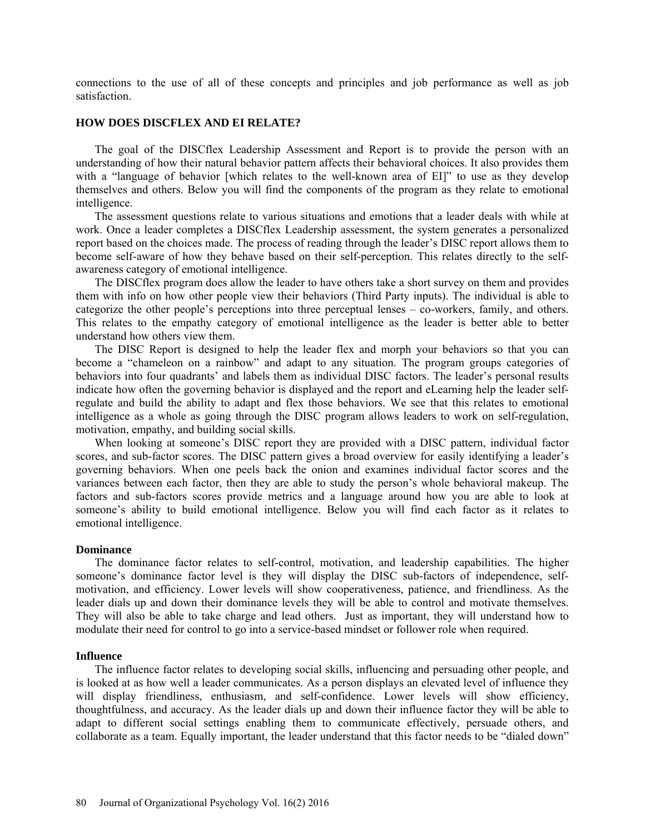connections to the use of all of these concepts and principles and job performance as well as job satisfaction.

#### **HOW DOES DISCFLEX AND EI RELATE?**

The goal of the DISCflex Leadership Assessment and Report is to provide the person with an understanding of how their natural behavior pattern affects their behavioral choices. It also provides them with a "language of behavior [which relates to the well-known area of EI]" to use as they develop themselves and others. Below you will find the components of the program as they relate to emotional intelligence.

The assessment questions relate to various situations and emotions that a leader deals with while at work. Once a leader completes a DISCflex Leadership assessment, the system generates a personalized report based on the choices made. The process of reading through the leader's DISC report allows them to become self-aware of how they behave based on their self-perception. This relates directly to the selfawareness category of emotional intelligence.

The DISCflex program does allow the leader to have others take a short survey on them and provides them with info on how other people view their behaviors (Third Party inputs). The individual is able to categorize the other people's perceptions into three perceptual lenses – co-workers, family, and others. This relates to the empathy category of emotional intelligence as the leader is better able to better understand how others view them.

The DISC Report is designed to help the leader flex and morph your behaviors so that you can become a "chameleon on a rainbow" and adapt to any situation. The program groups categories of behaviors into four quadrants' and labels them as individual DISC factors. The leader's personal results indicate how often the governing behavior is displayed and the report and eLearning help the leader selfregulate and build the ability to adapt and flex those behaviors. We see that this relates to emotional intelligence as a whole as going through the DISC program allows leaders to work on self-regulation, motivation, empathy, and building social skills.

When looking at someone's DISC report they are provided with a DISC pattern, individual factor scores, and sub-factor scores. The DISC pattern gives a broad overview for easily identifying a leader's governing behaviors. When one peels back the onion and examines individual factor scores and the variances between each factor, then they are able to study the person's whole behavioral makeup. The factors and sub-factors scores provide metrics and a language around how you are able to look at someone's ability to build emotional intelligence. Below you will find each factor as it relates to emotional intelligence.

#### **Dominance**

The dominance factor relates to self-control, motivation, and leadership capabilities. The higher someone's dominance factor level is they will display the DISC sub-factors of independence, selfmotivation, and efficiency. Lower levels will show cooperativeness, patience, and friendliness. As the leader dials up and down their dominance levels they will be able to control and motivate themselves. They will also be able to take charge and lead others. Just as important, they will understand how to modulate their need for control to go into a service-based mindset or follower role when required.

#### **Influence**

The influence factor relates to developing social skills, influencing and persuading other people, and is looked at as how well a leader communicates. As a person displays an elevated level of influence they will display friendliness, enthusiasm, and self-confidence. Lower levels will show efficiency, thoughtfulness, and accuracy. As the leader dials up and down their influence factor they will be able to adapt to different social settings enabling them to communicate effectively, persuade others, and collaborate as a team. Equally important, the leader understand that this factor needs to be "dialed down"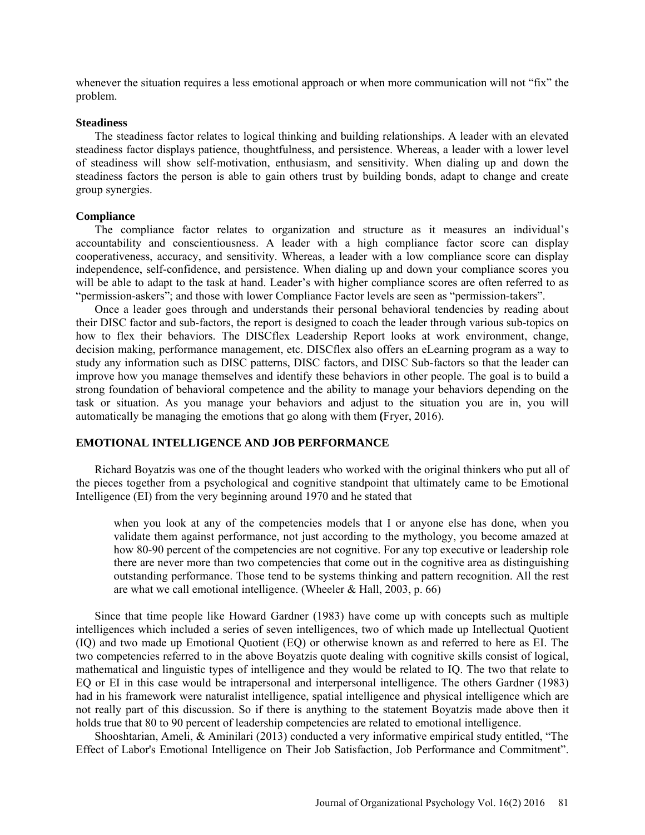whenever the situation requires a less emotional approach or when more communication will not "fix" the problem.

#### **Steadiness**

The steadiness factor relates to logical thinking and building relationships. A leader with an elevated steadiness factor displays patience, thoughtfulness, and persistence. Whereas, a leader with a lower level of steadiness will show self-motivation, enthusiasm, and sensitivity. When dialing up and down the steadiness factors the person is able to gain others trust by building bonds, adapt to change and create group synergies.

### **Compliance**

The compliance factor relates to organization and structure as it measures an individual's accountability and conscientiousness. A leader with a high compliance factor score can display cooperativeness, accuracy, and sensitivity. Whereas, a leader with a low compliance score can display independence, self-confidence, and persistence. When dialing up and down your compliance scores you will be able to adapt to the task at hand. Leader's with higher compliance scores are often referred to as "permission-askers"; and those with lower Compliance Factor levels are seen as "permission-takers".

Once a leader goes through and understands their personal behavioral tendencies by reading about their DISC factor and sub-factors, the report is designed to coach the leader through various sub-topics on how to flex their behaviors. The DISCflex Leadership Report looks at work environment, change, decision making, performance management, etc. DISCflex also offers an eLearning program as a way to study any information such as DISC patterns, DISC factors, and DISC Sub-factors so that the leader can improve how you manage themselves and identify these behaviors in other people. The goal is to build a strong foundation of behavioral competence and the ability to manage your behaviors depending on the task or situation. As you manage your behaviors and adjust to the situation you are in, you will automatically be managing the emotions that go along with them **(**Fryer, 2016).

### **EMOTIONAL INTELLIGENCE AND JOB PERFORMANCE**

Richard Boyatzis was one of the thought leaders who worked with the original thinkers who put all of the pieces together from a psychological and cognitive standpoint that ultimately came to be Emotional Intelligence (EI) from the very beginning around 1970 and he stated that

when you look at any of the competencies models that I or anyone else has done, when you validate them against performance, not just according to the mythology, you become amazed at how 80-90 percent of the competencies are not cognitive. For any top executive or leadership role there are never more than two competencies that come out in the cognitive area as distinguishing outstanding performance. Those tend to be systems thinking and pattern recognition. All the rest are what we call emotional intelligence. (Wheeler & Hall, 2003, p. 66)

Since that time people like Howard Gardner (1983) have come up with concepts such as multiple intelligences which included a series of seven intelligences, two of which made up Intellectual Quotient (IQ) and two made up Emotional Quotient (EQ) or otherwise known as and referred to here as EI. The two competencies referred to in the above Boyatzis quote dealing with cognitive skills consist of logical, mathematical and linguistic types of intelligence and they would be related to IQ. The two that relate to EQ or EI in this case would be intrapersonal and interpersonal intelligence. The others Gardner (1983) had in his framework were naturalist intelligence, spatial intelligence and physical intelligence which are not really part of this discussion. So if there is anything to the statement Boyatzis made above then it holds true that 80 to 90 percent of leadership competencies are related to emotional intelligence.

Shooshtarian, Ameli, & Aminilari (2013) conducted a very informative empirical study entitled, "The Effect of Labor's Emotional Intelligence on Their Job Satisfaction, Job Performance and Commitment".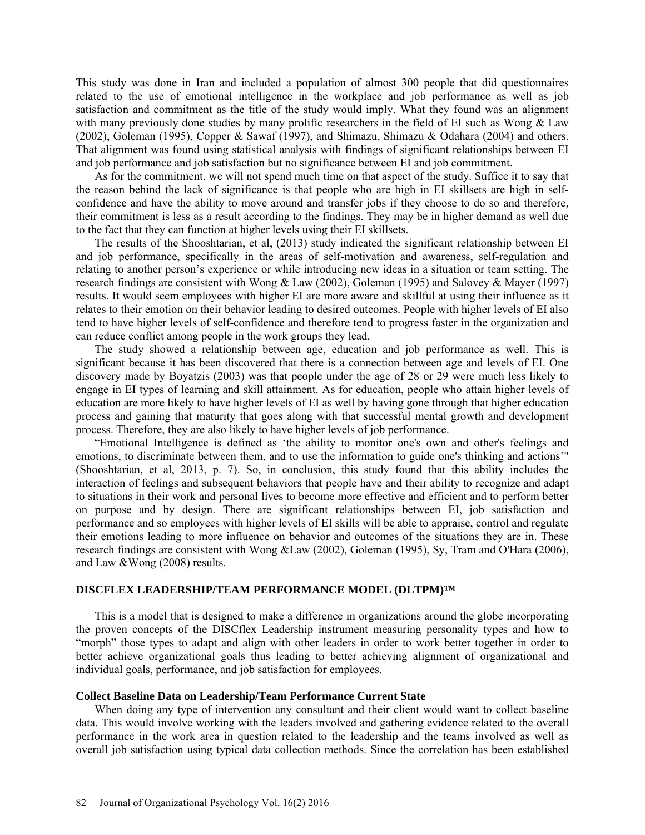This study was done in Iran and included a population of almost 300 people that did questionnaires related to the use of emotional intelligence in the workplace and job performance as well as job satisfaction and commitment as the title of the study would imply. What they found was an alignment with many previously done studies by many prolific researchers in the field of EI such as Wong & Law (2002), Goleman (1995), Copper & Sawaf (1997), and Shimazu, Shimazu & Odahara (2004) and others. That alignment was found using statistical analysis with findings of significant relationships between EI and job performance and job satisfaction but no significance between EI and job commitment.

As for the commitment, we will not spend much time on that aspect of the study. Suffice it to say that the reason behind the lack of significance is that people who are high in EI skillsets are high in selfconfidence and have the ability to move around and transfer jobs if they choose to do so and therefore, their commitment is less as a result according to the findings. They may be in higher demand as well due to the fact that they can function at higher levels using their EI skillsets.

The results of the Shooshtarian, et al, (2013) study indicated the significant relationship between EI and job performance, specifically in the areas of self-motivation and awareness, self-regulation and relating to another person's experience or while introducing new ideas in a situation or team setting. The research findings are consistent with Wong & Law (2002), Goleman (1995) and Salovey & Mayer (1997) results. It would seem employees with higher EI are more aware and skillful at using their influence as it relates to their emotion on their behavior leading to desired outcomes. People with higher levels of EI also tend to have higher levels of self-confidence and therefore tend to progress faster in the organization and can reduce conflict among people in the work groups they lead.

The study showed a relationship between age, education and job performance as well. This is significant because it has been discovered that there is a connection between age and levels of EI. One discovery made by Boyatzis (2003) was that people under the age of 28 or 29 were much less likely to engage in EI types of learning and skill attainment. As for education, people who attain higher levels of education are more likely to have higher levels of EI as well by having gone through that higher education process and gaining that maturity that goes along with that successful mental growth and development process. Therefore, they are also likely to have higher levels of job performance.

"Emotional Intelligence is defined as 'the ability to monitor one's own and other's feelings and emotions, to discriminate between them, and to use the information to guide one's thinking and actions'" (Shooshtarian, et al, 2013, p. 7). So, in conclusion, this study found that this ability includes the interaction of feelings and subsequent behaviors that people have and their ability to recognize and adapt to situations in their work and personal lives to become more effective and efficient and to perform better on purpose and by design. There are significant relationships between EI, job satisfaction and performance and so employees with higher levels of EI skills will be able to appraise, control and regulate their emotions leading to more influence on behavior and outcomes of the situations they are in. These research findings are consistent with Wong &Law (2002), Goleman (1995), Sy, Tram and O'Hara (2006), and Law &Wong (2008) results.

### **DISCFLEX LEADERSHIP/TEAM PERFORMANCE MODEL (DLTPM)™**

This is a model that is designed to make a difference in organizations around the globe incorporating the proven concepts of the DISCflex Leadership instrument measuring personality types and how to "morph" those types to adapt and align with other leaders in order to work better together in order to better achieve organizational goals thus leading to better achieving alignment of organizational and individual goals, performance, and job satisfaction for employees.

### **Collect Baseline Data on Leadership/Team Performance Current State**

When doing any type of intervention any consultant and their client would want to collect baseline data. This would involve working with the leaders involved and gathering evidence related to the overall performance in the work area in question related to the leadership and the teams involved as well as overall job satisfaction using typical data collection methods. Since the correlation has been established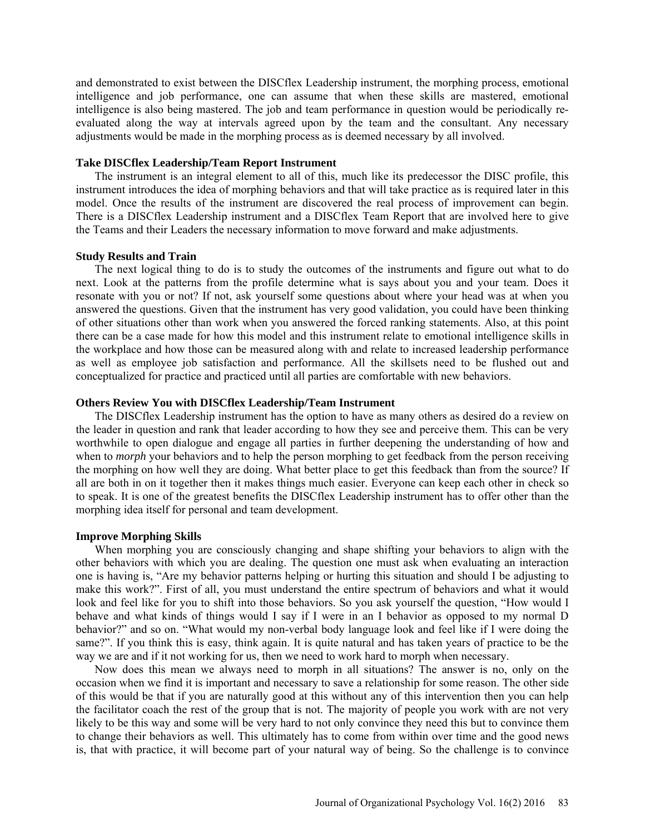and demonstrated to exist between the DISCflex Leadership instrument, the morphing process, emotional intelligence and job performance, one can assume that when these skills are mastered, emotional intelligence is also being mastered. The job and team performance in question would be periodically reevaluated along the way at intervals agreed upon by the team and the consultant. Any necessary adjustments would be made in the morphing process as is deemed necessary by all involved.

### **Take DISCflex Leadership/Team Report Instrument**

The instrument is an integral element to all of this, much like its predecessor the DISC profile, this instrument introduces the idea of morphing behaviors and that will take practice as is required later in this model. Once the results of the instrument are discovered the real process of improvement can begin. There is a DISCflex Leadership instrument and a DISCflex Team Report that are involved here to give the Teams and their Leaders the necessary information to move forward and make adjustments.

#### **Study Results and Train**

The next logical thing to do is to study the outcomes of the instruments and figure out what to do next. Look at the patterns from the profile determine what is says about you and your team. Does it resonate with you or not? If not, ask yourself some questions about where your head was at when you answered the questions. Given that the instrument has very good validation, you could have been thinking of other situations other than work when you answered the forced ranking statements. Also, at this point there can be a case made for how this model and this instrument relate to emotional intelligence skills in the workplace and how those can be measured along with and relate to increased leadership performance as well as employee job satisfaction and performance. All the skillsets need to be flushed out and conceptualized for practice and practiced until all parties are comfortable with new behaviors.

### **Others Review You with DISCflex Leadership/Team Instrument**

The DISCflex Leadership instrument has the option to have as many others as desired do a review on the leader in question and rank that leader according to how they see and perceive them. This can be very worthwhile to open dialogue and engage all parties in further deepening the understanding of how and when to *morph* your behaviors and to help the person morphing to get feedback from the person receiving the morphing on how well they are doing. What better place to get this feedback than from the source? If all are both in on it together then it makes things much easier. Everyone can keep each other in check so to speak. It is one of the greatest benefits the DISCflex Leadership instrument has to offer other than the morphing idea itself for personal and team development.

#### **Improve Morphing Skills**

When morphing you are consciously changing and shape shifting your behaviors to align with the other behaviors with which you are dealing. The question one must ask when evaluating an interaction one is having is, "Are my behavior patterns helping or hurting this situation and should I be adjusting to make this work?". First of all, you must understand the entire spectrum of behaviors and what it would look and feel like for you to shift into those behaviors. So you ask yourself the question, "How would I behave and what kinds of things would I say if I were in an I behavior as opposed to my normal D behavior?" and so on. "What would my non-verbal body language look and feel like if I were doing the same?". If you think this is easy, think again. It is quite natural and has taken years of practice to be the way we are and if it not working for us, then we need to work hard to morph when necessary.

Now does this mean we always need to morph in all situations? The answer is no, only on the occasion when we find it is important and necessary to save a relationship for some reason. The other side of this would be that if you are naturally good at this without any of this intervention then you can help the facilitator coach the rest of the group that is not. The majority of people you work with are not very likely to be this way and some will be very hard to not only convince they need this but to convince them to change their behaviors as well. This ultimately has to come from within over time and the good news is, that with practice, it will become part of your natural way of being. So the challenge is to convince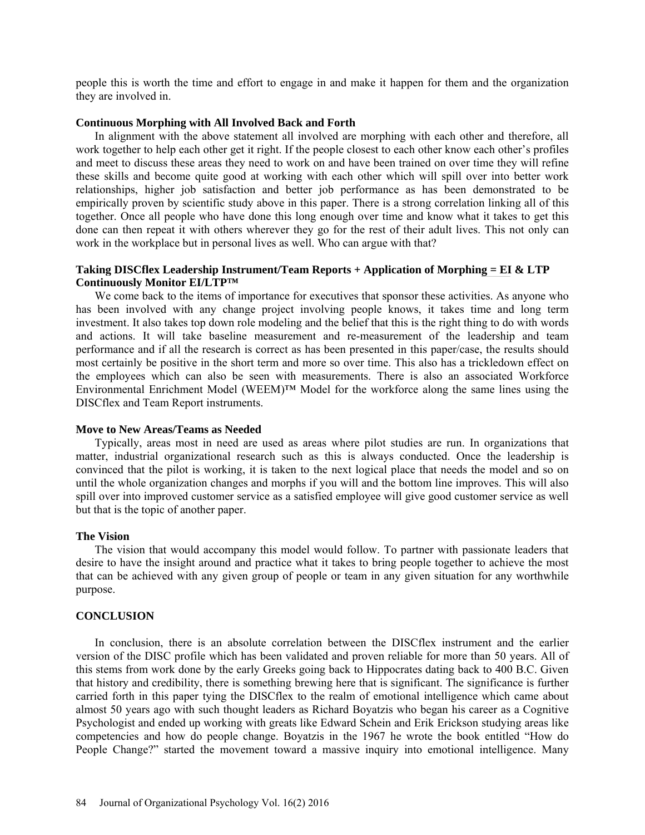people this is worth the time and effort to engage in and make it happen for them and the organization they are involved in.

#### **Continuous Morphing with All Involved Back and Forth**

In alignment with the above statement all involved are morphing with each other and therefore, all work together to help each other get it right. If the people closest to each other know each other's profiles and meet to discuss these areas they need to work on and have been trained on over time they will refine these skills and become quite good at working with each other which will spill over into better work relationships, higher job satisfaction and better job performance as has been demonstrated to be empirically proven by scientific study above in this paper. There is a strong correlation linking all of this together. Once all people who have done this long enough over time and know what it takes to get this done can then repeat it with others wherever they go for the rest of their adult lives. This not only can work in the workplace but in personal lives as well. Who can argue with that?

### **Taking DISCflex Leadership Instrument/Team Reports + Application of Morphing = EI & LTP Continuously Monitor EI/LTP™**

We come back to the items of importance for executives that sponsor these activities. As anyone who has been involved with any change project involving people knows, it takes time and long term investment. It also takes top down role modeling and the belief that this is the right thing to do with words and actions. It will take baseline measurement and re-measurement of the leadership and team performance and if all the research is correct as has been presented in this paper/case, the results should most certainly be positive in the short term and more so over time. This also has a trickledown effect on the employees which can also be seen with measurements. There is also an associated Workforce Environmental Enrichment Model (WEEM)™ Model for the workforce along the same lines using the DISCflex and Team Report instruments.

### **Move to New Areas/Teams as Needed**

Typically, areas most in need are used as areas where pilot studies are run. In organizations that matter, industrial organizational research such as this is always conducted. Once the leadership is convinced that the pilot is working, it is taken to the next logical place that needs the model and so on until the whole organization changes and morphs if you will and the bottom line improves. This will also spill over into improved customer service as a satisfied employee will give good customer service as well but that is the topic of another paper.

#### **The Vision**

The vision that would accompany this model would follow. To partner with passionate leaders that desire to have the insight around and practice what it takes to bring people together to achieve the most that can be achieved with any given group of people or team in any given situation for any worthwhile purpose.

### **CONCLUSION**

In conclusion, there is an absolute correlation between the DISCflex instrument and the earlier version of the DISC profile which has been validated and proven reliable for more than 50 years. All of this stems from work done by the early Greeks going back to Hippocrates dating back to 400 B.C. Given that history and credibility, there is something brewing here that is significant. The significance is further carried forth in this paper tying the DISCflex to the realm of emotional intelligence which came about almost 50 years ago with such thought leaders as Richard Boyatzis who began his career as a Cognitive Psychologist and ended up working with greats like Edward Schein and Erik Erickson studying areas like competencies and how do people change. Boyatzis in the 1967 he wrote the book entitled "How do People Change?" started the movement toward a massive inquiry into emotional intelligence. Many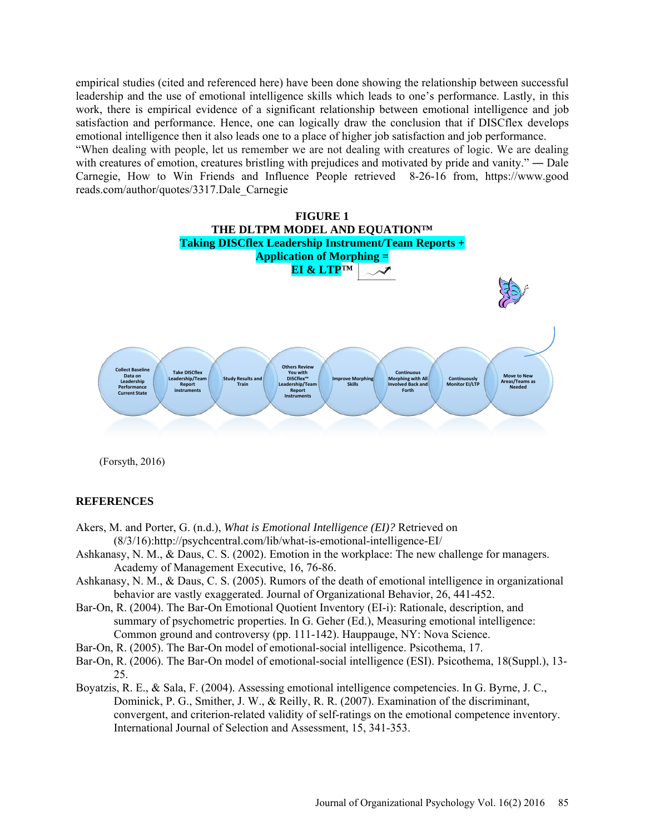empirical studies (cited and referenced here) have been done showing the relationship between successful leadership and the use of emotional intelligence skills which leads to one's performance. Lastly, in this work, there is empirical evidence of a significant relationship between emotional intelligence and job satisfaction and performance. Hence, one can logically draw the conclusion that if DISCflex develops emotional intelligence then it also leads one to a place of higher job satisfaction and job performance. "When dealing with people, let us remember we are not dealing with creatures of logic. We are dealing with creatures of emotion, creatures bristling with prejudices and motivated by pride and vanity." — Dale [Carnegie,](https://www.goodreads.com/author/show/3317.Dale_Carnegie) [How to Win Friends and Influence People](https://www.goodreads.com/work/quotes/2370171) retrieved 8-26-16 from, [https://www.good](https://www.good/)

**FIGURE 1 THE DLTPM MODEL AND EQUATION™ Taking DISCflex Leadership Instrument/Team Reports + Application of Morphing = EI & LTP™ Collect Baseline Data on Leadership Performance Current State Take DISCflex**  ship/Te **Report instruments Study Results and Train Others Re You with DISCflex™ Leadership/Team Report Instruments Improve Morphing Skills Continuous Morphing with All Involved Back and Forth Continuously Monitor EI/LTP Move to New Areas/Teams as Needed**

(Forsyth, 2016)

reads.com/author/quotes/3317.Dale\_Carnegie

### **REFERENCES**

- Akers, M. and Porter, G. (n.d.), *What is Emotional Intelligence (EI)?* Retrieved on (8/3/16):http://psychcentral.com/lib/what-is-emotional-intelligence-EI/
- Ashkanasy, N. M., & Daus, C. S. (2002). Emotion in the workplace: The new challenge for managers. Academy of Management Executive, 16, 76-86.
- Ashkanasy, N. M., & Daus, C. S. (2005). Rumors of the death of emotional intelligence in organizational behavior are vastly exaggerated. Journal of Organizational Behavior, 26, 441-452.
- Bar-On, R. (2004). The Bar-On Emotional Quotient Inventory (EI-i): Rationale, description, and summary of psychometric properties. In G. Geher (Ed.), Measuring emotional intelligence: Common ground and controversy (pp. 111-142). Hauppauge, NY: Nova Science.
- Bar-On, R. (2005). The Bar-On model of emotional-social intelligence. Psicothema, 17.
- Bar-On, R. (2006). The Bar-On model of emotional-social intelligence (ESI). Psicothema, 18(Suppl.), 13- 25.
- Boyatzis, R. E., & Sala, F. (2004). Assessing emotional intelligence competencies. In G. Byrne, J. C., Dominick, P. G., Smither, J. W., & Reilly, R. R. (2007). Examination of the discriminant, convergent, and criterion-related validity of self-ratings on the emotional competence inventory. International Journal of Selection and Assessment, 15, 341-353.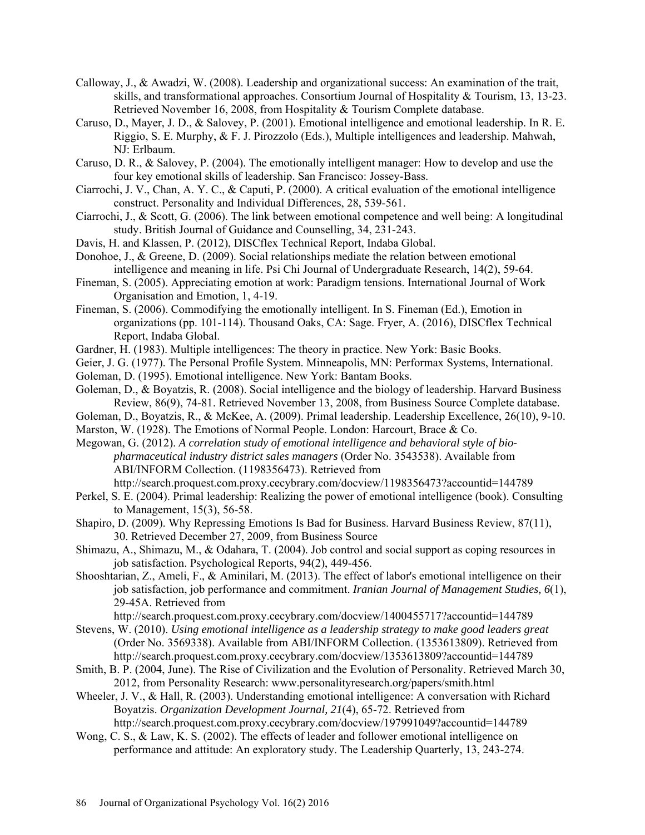- Calloway, J., & Awadzi, W. (2008). Leadership and organizational success: An examination of the trait, skills, and transformational approaches. Consortium Journal of Hospitality & Tourism, 13, 13-23. Retrieved November 16, 2008, from Hospitality & Tourism Complete database.
- Caruso, D., Mayer, J. D., & Salovey, P. (2001). Emotional intelligence and emotional leadership. In R. E. Riggio, S. E. Murphy, & F. J. Pirozzolo (Eds.), Multiple intelligences and leadership. Mahwah, NJ: Erlbaum.
- Caruso, D. R., & Salovey, P. (2004). The emotionally intelligent manager: How to develop and use the four key emotional skills of leadership. San Francisco: Jossey-Bass.
- Ciarrochi, J. V., Chan, A. Y. C., & Caputi, P. (2000). A critical evaluation of the emotional intelligence construct. Personality and Individual Differences, 28, 539-561.
- Ciarrochi, J., & Scott, G. (2006). The link between emotional competence and well being: A longitudinal study. British Journal of Guidance and Counselling, 34, 231-243.
- Davis, H. and Klassen, P. (2012), DISCflex Technical Report, Indaba Global.
- Donohoe, J., & Greene, D. (2009). Social relationships mediate the relation between emotional intelligence and meaning in life. Psi Chi Journal of Undergraduate Research, 14(2), 59-64.
- Fineman, S. (2005). Appreciating emotion at work: Paradigm tensions. International Journal of Work Organisation and Emotion, 1, 4-19.
- Fineman, S. (2006). Commodifying the emotionally intelligent. In S. Fineman (Ed.), Emotion in organizations (pp. 101-114). Thousand Oaks, CA: Sage. Fryer, A. (2016), DISCflex Technical Report, Indaba Global.
- Gardner, H. (1983). Multiple intelligences: The theory in practice. New York: Basic Books.
- Geier, J. G. (1977). The Personal Profile System. Minneapolis, MN: Performax Systems, International.
- Goleman, D. (1995). Emotional intelligence. New York: Bantam Books.
- Goleman, D., & Boyatzis, R. (2008). Social intelligence and the biology of leadership. Harvard Business Review, 86(9), 74-81. Retrieved November 13, 2008, from Business Source Complete database.
- Goleman, D., Boyatzis, R., & McKee, A. (2009). Primal leadership. Leadership Excellence, 26(10), 9-10.
- Marston, W. (1928). The Emotions of Normal People. London: Harcourt, Brace & Co.
- Megowan, G. (2012). *A correlation study of emotional intelligence and behavioral style of biopharmaceutical industry district sales managers* (Order No. 3543538). Available from ABI/INFORM Collection. (1198356473). Retrieved from
	- http://search.proquest.com.proxy.cecybrary.com/docview/1198356473?accountid=144789
- Perkel, S. E. (2004). Primal leadership: Realizing the power of emotional intelligence (book). Consulting to Management, 15(3), 56-58.
- Shapiro, D. (2009). Why Repressing Emotions Is Bad for Business. Harvard Business Review, 87(11), 30. Retrieved December 27, 2009, from Business Source
- Shimazu, A., Shimazu, M., & Odahara, T. (2004). Job control and social support as coping resources in job satisfaction. Psychological Reports, 94(2), 449-456.
- Shooshtarian, Z., Ameli, F., & Aminilari, M. (2013). The effect of labor's emotional intelligence on their job satisfaction, job performance and commitment. *Iranian Journal of Management Studies, 6*(1), 29-45A. Retrieved from

<http://search.proquest.com.proxy.cecybrary.com/docview/1400455717?accountid=144789>

- Stevens, W. (2010). *Using emotional intelligence as a leadership strategy to make good leaders great*  (Order No. 3569338). Available from ABI/INFORM Collection. (1353613809). Retrieved from <http://search.proquest.com.proxy.cecybrary.com/docview/1353613809?accountid=144789>
- Smith, B. P. (2004, June). The Rise of Civilization and the Evolution of Personality. Retrieved March 30, 2012, from Personality Research: www.personalityresearch.org/papers/smith.html
- Wheeler, J. V., & Hall, R. (2003). Understanding emotional intelligence: A conversation with Richard Boyatzis. *Organization Development Journal, 21*(4), 65-72. Retrieved from http://search.proquest.com.proxy.cecybrary.com/docview/197991049?accountid=144789
- Wong, C. S., & Law, K. S. (2002). The effects of leader and follower emotional intelligence on performance and attitude: An exploratory study. The Leadership Quarterly, 13, 243-274.